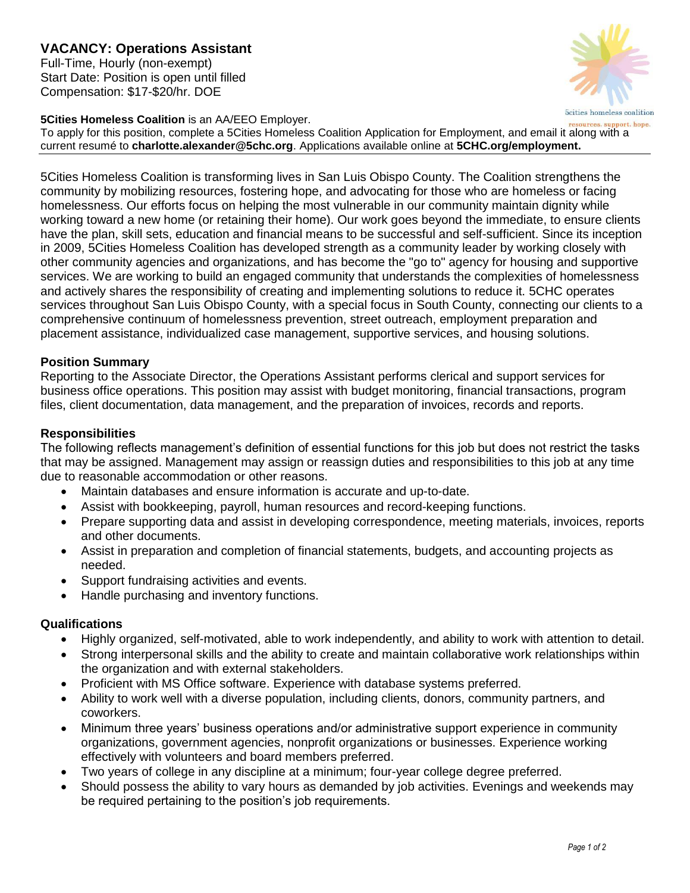# **VACANCY: Operations Assistant**

Full-Time, Hourly (non-exempt) Start Date: Position is open until filled Compensation: \$17-\$20/hr. DOE

### **5Cities Homeless Coalition** is an AA/EEO Employer.

5cities homeless coalition resources, support, hope.

To apply for this position, complete a 5Cities Homeless Coalition Application for Employment, and email it along with a current resumé to **charlotte.alexander@5chc.org**. Applications available online at **5CHC.org/employment.**

5Cities Homeless Coalition is transforming lives in San Luis Obispo County. The Coalition strengthens the community by mobilizing resources, fostering hope, and advocating for those who are homeless or facing homelessness. Our efforts focus on helping the most vulnerable in our community maintain dignity while working toward a new home (or retaining their home). Our work goes beyond the immediate, to ensure clients have the plan, skill sets, education and financial means to be successful and self-sufficient. Since its inception in 2009, 5Cities Homeless Coalition has developed strength as a community leader by working closely with other community agencies and organizations, and has become the "go to" agency for housing and supportive services. We are working to build an engaged community that understands the complexities of homelessness and actively shares the responsibility of creating and implementing solutions to reduce it. 5CHC operates services throughout San Luis Obispo County, with a special focus in South County, connecting our clients to a comprehensive continuum of homelessness prevention, street outreach, employment preparation and placement assistance, individualized case management, supportive services, and housing solutions.

## **Position Summary**

Reporting to the Associate Director, the Operations Assistant performs clerical and support services for business office operations. This position may assist with budget monitoring, financial transactions, program files, client documentation, data management, and the preparation of invoices, records and reports.

## **Responsibilities**

The following reflects management's definition of essential functions for this job but does not restrict the tasks that may be assigned. Management may assign or reassign duties and responsibilities to this job at any time due to reasonable accommodation or other reasons.

- Maintain databases and ensure information is accurate and up-to-date.
- Assist with bookkeeping, payroll, human resources and record-keeping functions.
- Prepare supporting data and assist in developing correspondence, meeting materials, invoices, reports and other documents.
- Assist in preparation and completion of financial statements, budgets, and accounting projects as needed.
- Support fundraising activities and events.
- Handle purchasing and inventory functions.

## **Qualifications**

- Highly organized, self-motivated, able to work independently, and ability to work with attention to detail.
- Strong interpersonal skills and the ability to create and maintain collaborative work relationships within the organization and with external stakeholders.
- Proficient with MS Office software. Experience with database systems preferred.
- Ability to work well with a diverse population, including clients, donors, community partners, and coworkers.
- Minimum three years' business operations and/or administrative support experience in community organizations, government agencies, nonprofit organizations or businesses. Experience working effectively with volunteers and board members preferred.
- Two years of college in any discipline at a minimum; four-year college degree preferred.
- Should possess the ability to vary hours as demanded by job activities. Evenings and weekends may be required pertaining to the position's job requirements.